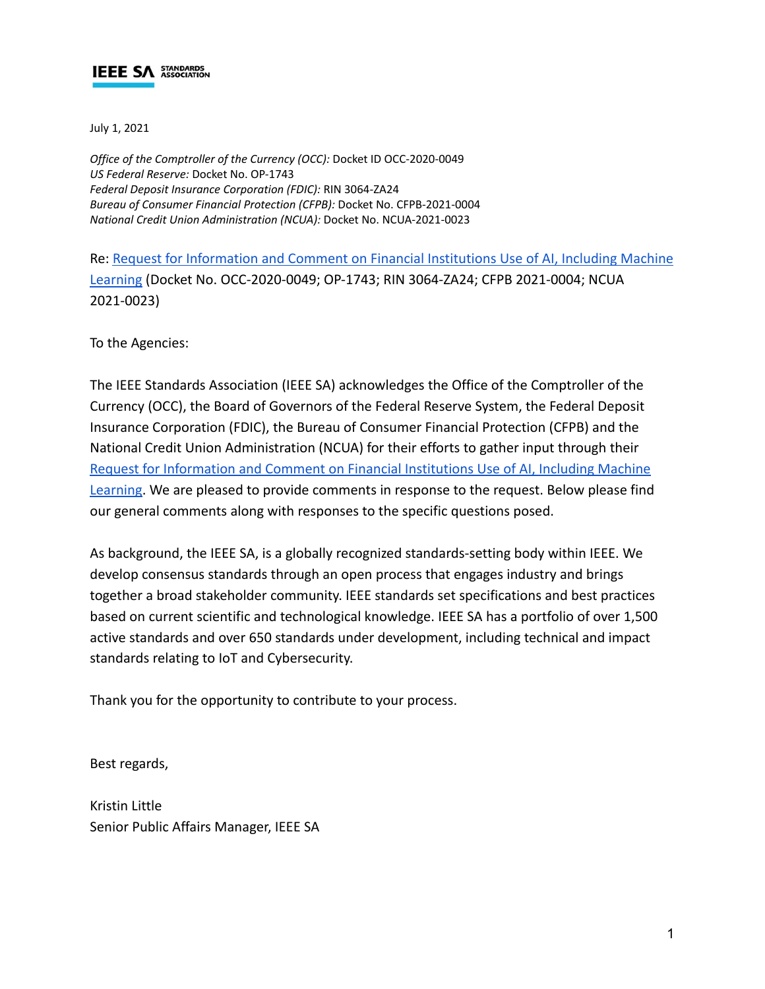July 1, 2021

*Office of the Comptroller of the Currency (OCC):* Docket ID OCC-2020-0049 *US Federal Reserve:* Docket No. OP-1743 *Federal Deposit Insurance Corporation (FDIC):* RIN 3064-ZA24 *Bureau of Consumer Financial Protection (CFPB):* Docket No. CFPB-2021-0004 *National Credit Union Administration (NCUA):* Docket No. NCUA-2021-0023

Re: [Request for Information and Comment on Financial](https://www.federalregister.gov/documents/2021/03/31/2021-06607/request-for-information-and-comment-on-financial-institutions-use-of-artificial-intelligence) Institutions Use of AI, Including Machine [Learning](https://www.federalregister.gov/documents/2021/03/31/2021-06607/request-for-information-and-comment-on-financial-institutions-use-of-artificial-intelligence) (Docket No. OCC-2020-0049; OP-1743; RIN 3064-ZA24; CFPB 2021-0004; NCUA 2021-0023)

To the Agencies:

The IEEE Standards Association (IEEE SA) acknowledges the Office of the Comptroller of the Currency (OCC), the Board of Governors of the Federal Reserve System, the Federal Deposit Insurance Corporation (FDIC), the Bureau of Consumer Financial Protection (CFPB) and the National Credit Union Administration (NCUA) for their efforts to gather input through their [Request for Information and Comment on Financial Institutions](https://www.federalregister.gov/documents/2021/03/31/2021-06607/request-for-information-and-comment-on-financial-institutions-use-of-artificial-intelligence) Use of AI, Including Machine [Learning.](https://www.federalregister.gov/documents/2021/03/31/2021-06607/request-for-information-and-comment-on-financial-institutions-use-of-artificial-intelligence) We are pleased to provide comments in response to the request. Below please find our general comments along with responses to the specific questions posed.

As background, the IEEE SA, is a globally recognized standards-setting body within IEEE. We develop consensus standards through an open process that engages industry and brings together a broad stakeholder community. IEEE standards set specifications and best practices based on current scientific and technological knowledge. IEEE SA has a portfolio of over 1,500 active standards and over 650 standards under development, including technical and impact standards relating to IoT and Cybersecurity.

Thank you for the opportunity to contribute to your process.

Best regards,

Kristin Little Senior Public Affairs Manager, IEEE SA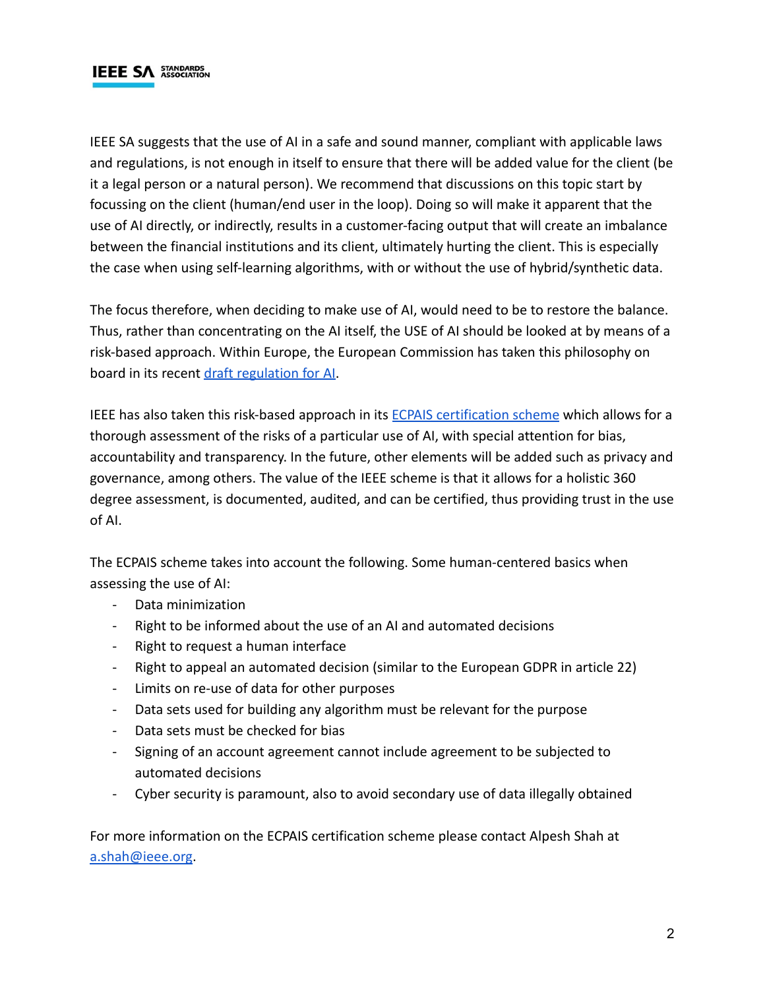IEEE SA suggests that the use of AI in a safe and sound manner, compliant with applicable laws and regulations, is not enough in itself to ensure that there will be added value for the client (be it a legal person or a natural person). We recommend that discussions on this topic start by focussing on the client (human/end user in the loop). Doing so will make it apparent that the use of AI directly, or indirectly, results in a customer-facing output that will create an imbalance between the financial institutions and its client, ultimately hurting the client. This is especially the case when using self-learning algorithms, with or without the use of hybrid/synthetic data.

The focus therefore, when deciding to make use of AI, would need to be to restore the balance. Thus, rather than concentrating on the AI itself, the USE of AI should be looked at by means of a risk-based approach. Within Europe, the European Commission has taken this philosophy on board in its recent [draft regulation for AI.](https://digital-strategy.ec.europa.eu/en/news/europe-fit-digital-age-commission-proposes-new-rules-and-actions-excellence-and-trust-artificial)

IEEE has also taken this risk-based approach in its [ECPAIS certification scheme](https://standards.ieee.org/news/2018/ieee-launches-ecpais.html) which allows for a thorough assessment of the risks of a particular use of AI, with special attention for bias, accountability and transparency. In the future, other elements will be added such as privacy and governance, among others. The value of the IEEE scheme is that it allows for a holistic 360 degree assessment, is documented, audited, and can be certified, thus providing trust in the use of AI.

The ECPAIS scheme takes into account the following. Some human-centered basics when assessing the use of AI:

- Data minimization
- Right to be informed about the use of an AI and automated decisions
- Right to request a human interface
- Right to appeal an automated decision (similar to the European GDPR in article 22)
- Limits on re-use of data for other purposes
- Data sets used for building any algorithm must be relevant for the purpose
- Data sets must be checked for bias
- Signing of an account agreement cannot include agreement to be subjected to automated decisions
- Cyber security is paramount, also to avoid secondary use of data illegally obtained

For more information on the ECPAIS certification scheme please contact Alpesh Shah at [a.shah@ieee.org](mailto:a.shah@ieee.org).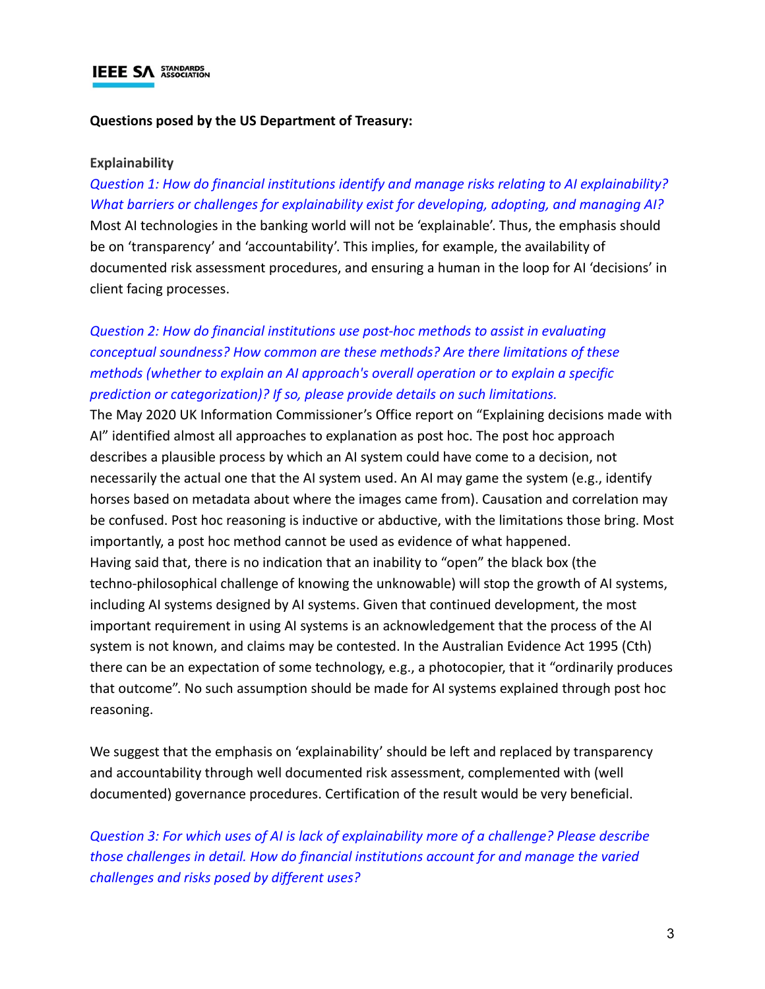#### **Questions posed by the US Department of Treasury:**

#### **Explainability**

*Question 1: How do financial institutions identify and manage risks relating to AI explainability? What barriers or challenges for explainability exist for developing, adopting, and managing AI?* Most AI technologies in the banking world will not be 'explainable'. Thus, the emphasis should be on 'transparency' and 'accountability'. This implies, for example, the availability of documented risk assessment procedures, and ensuring a human in the loop for AI 'decisions' in client facing processes.

## *Question 2: How do financial institutions use post-hoc methods to assist in evaluating conceptual soundness? How common are these methods? Are there limitations of these methods (whether to explain an AI approach's overall operation or to explain a specific prediction or categorization)? If so, please provide details on such limitations.*

The May 2020 UK Information Commissioner's Office report on "Explaining decisions made with AI" identified almost all approaches to explanation as post hoc. The post hoc approach describes a plausible process by which an AI system could have come to a decision, not necessarily the actual one that the AI system used. An AI may game the system (e.g., identify horses based on metadata about where the images came from). Causation and correlation may be confused. Post hoc reasoning is inductive or abductive, with the limitations those bring. Most importantly, a post hoc method cannot be used as evidence of what happened. Having said that, there is no indication that an inability to "open" the black box (the techno-philosophical challenge of knowing the unknowable) will stop the growth of AI systems, including AI systems designed by AI systems. Given that continued development, the most important requirement in using AI systems is an acknowledgement that the process of the AI system is not known, and claims may be contested. In the Australian Evidence Act 1995 (Cth) there can be an expectation of some technology, e.g., a photocopier, that it "ordinarily produces that outcome". No such assumption should be made for AI systems explained through post hoc reasoning.

We suggest that the emphasis on 'explainability' should be left and replaced by transparency and accountability through well documented risk assessment, complemented with (well documented) governance procedures. Certification of the result would be very beneficial.

*Question 3: For which uses of AI is lack of explainability more of a challenge? Please describe those challenges in detail. How do financial institutions account for and manage the varied challenges and risks posed by different uses?*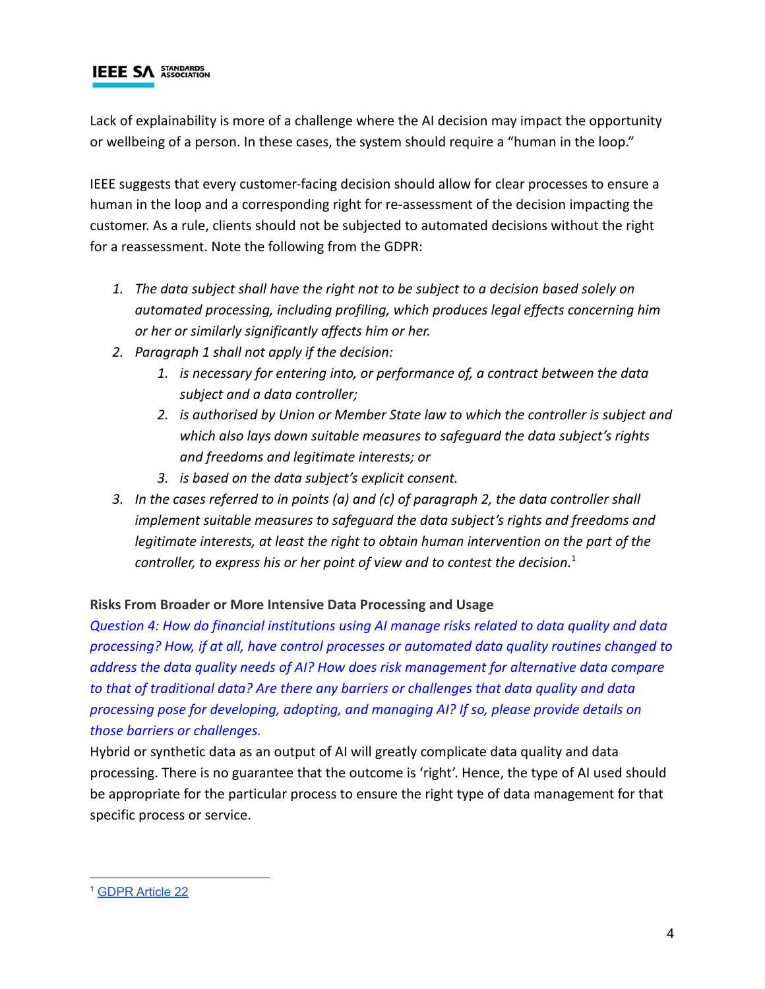Lack of explainability is more of a challenge where the AI decision may impact the opportunity or wellbeing of a person. In these cases, the system should require a "human in the loop."

IEEE suggests that every customer-facing decision should allow for clear processes to ensure a human in the loop and a corresponding right for re-assessment of the decision impacting the customer. As a rule, clients should not be subjected to automated decisions without the right for a reassessment. Note the following from the GDPR:

- *1. The data subject shall have the right not to be subject to a decision based solely on automated processing, including profiling, which produces legal effects concerning him or her or similarly significantly affects him or her.*
- *2. Paragraph 1 shall not apply if the decision:*
	- *1. is necessary for entering into, or performance of, a contract between the data subject and a data controller;*
	- *2. is authorised by Union or Member State law to which the controller is subject and which also lays down suitable measures to safeguard the data subject's rights and freedoms and legitimate interests; or*
	- *3. is based on the data subject's explicit consent.*
- *3. In the cases referred to in points (a) and (c) of paragraph 2, the data controller shall implement suitable measures to safeguard the data subject's rights and freedoms and legitimate interests, at least the right to obtain human intervention on the part of the controller, to express his or her point of view and to contest the decision.*<sup>1</sup>

### **Risks From Broader or More Intensive Data Processing and Usage**

*Question 4: How do financial institutions using AI manage risks related to data quality and data processing? How, if at all, have control processes or automated data quality routines changed to address the data quality needs of AI? How does risk management for alternative data compare to that of traditional data? Are there any barriers or challenges that data quality and data processing pose for developing, adopting, and managing AI? If so, please provide details on those barriers or challenges.*

Hybrid or synthetic data as an output of AI will greatly complicate data quality and data processing. There is no guarantee that the outcome is 'right'. Hence, the type of AI used should be appropriate for the particular process to ensure the right type of data management for that specific process or service.

<sup>1</sup> [GDPR](https://gdpr-text.com/read/article-22/) Article 22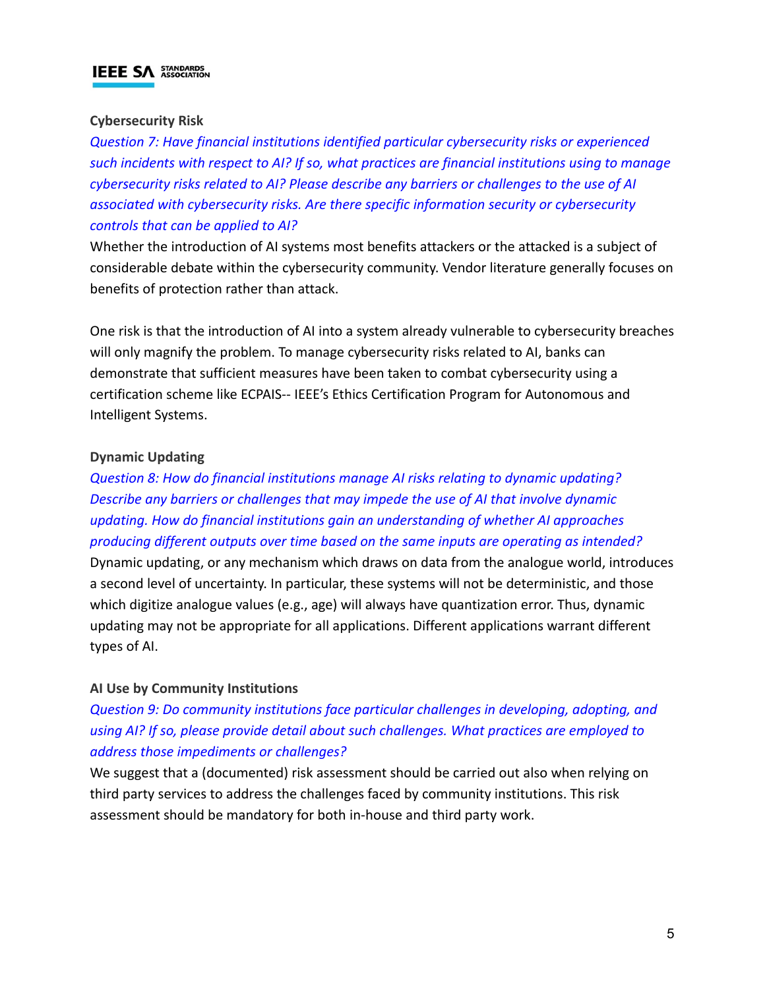#### **Cybersecurity Risk**

*Question 7: Have financial institutions identified particular cybersecurity risks or experienced such incidents with respect to AI? If so, what practices are financial institutions using to manage cybersecurity risks related to AI? Please describe any barriers or challenges to the use of AI associated with cybersecurity risks. Are there specific information security or cybersecurity controls that can be applied to AI?*

Whether the introduction of AI systems most benefits attackers or the attacked is a subject of considerable debate within the cybersecurity community. Vendor literature generally focuses on benefits of protection rather than attack.

One risk is that the introduction of AI into a system already vulnerable to cybersecurity breaches will only magnify the problem. To manage cybersecurity risks related to AI, banks can demonstrate that sufficient measures have been taken to combat cybersecurity using a certification scheme like ECPAIS-- IEEE's Ethics Certification Program for Autonomous and Intelligent Systems.

#### **Dynamic Updating**

*Question 8: How do financial institutions manage AI risks relating to dynamic updating? Describe any barriers or challenges that may impede the use of AI that involve dynamic updating. How do financial institutions gain an understanding of whether AI approaches producing different outputs over time based on the same inputs are operating as intended?*

Dynamic updating, or any mechanism which draws on data from the analogue world, introduces a second level of uncertainty. In particular, these systems will not be deterministic, and those which digitize analogue values (e.g., age) will always have quantization error. Thus, dynamic updating may not be appropriate for all applications. Different applications warrant different types of AI.

#### **AI Use by Community Institutions**

## *Question 9: Do community institutions face particular challenges in developing, adopting, and using AI? If so, please provide detail about such challenges. What practices are employed to address those impediments or challenges?*

We suggest that a (documented) risk assessment should be carried out also when relying on third party services to address the challenges faced by community institutions. This risk assessment should be mandatory for both in-house and third party work.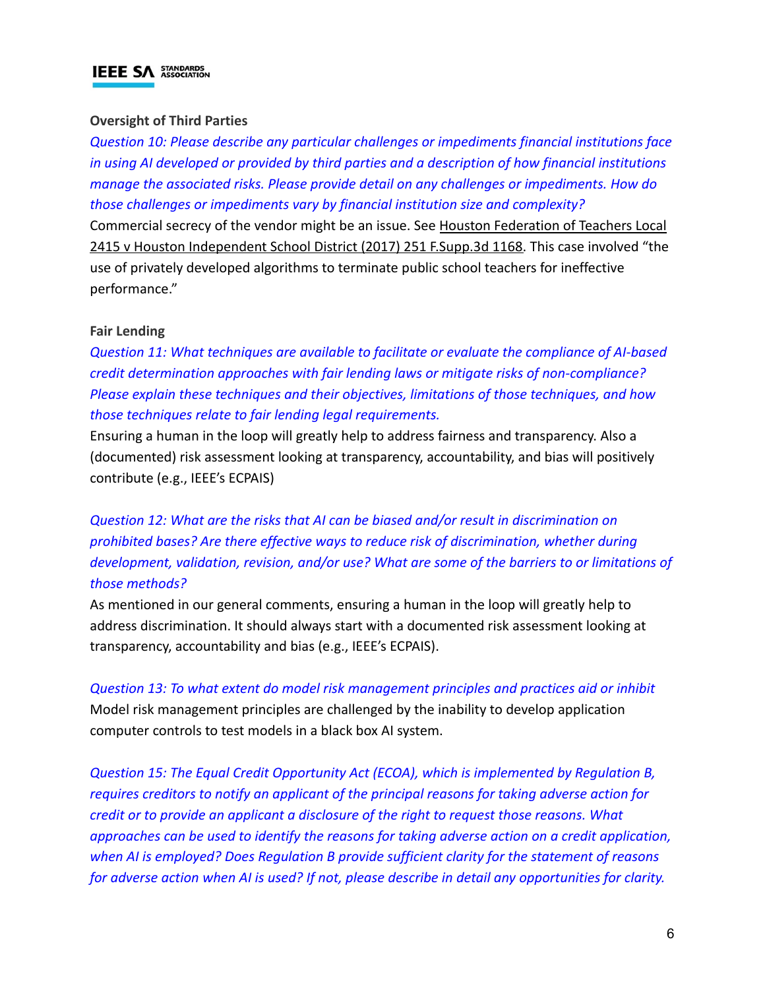### **Oversight of Third Parties**

*Question 10: Please describe any particular challenges or impediments financial institutions face in using AI developed or provided by third parties and a description of how financial institutions manage the associated risks. Please provide detail on any challenges or impediments. How do those challenges or impediments vary by financial institution size and complexity?* Commercial secrecy of the vendor might be an issue. See [Houston Federation of Teachers Local](https://www.leagle.com/decision/infdco20170530802) [2415 v Houston Independent School District \(2017\)](https://www.leagle.com/decision/infdco20170530802) 251 F.Supp.3d 1168. This case involved "the use of privately developed algorithms to terminate public school teachers for ineffective

#### **Fair Lending**

performance."

*Question 11: What techniques are available to facilitate or evaluate the compliance of AI-based credit determination approaches with fair lending laws or mitigate risks of non-compliance? Please explain these techniques and their objectives, limitations of those techniques, and how those techniques relate to fair lending legal requirements.*

Ensuring a human in the loop will greatly help to address fairness and transparency. Also a (documented) risk assessment looking at transparency, accountability, and bias will positively contribute (e.g., IEEE's ECPAIS)

*Question 12: What are the risks that AI can be biased and/or result in discrimination on prohibited bases? Are there effective ways to reduce risk of discrimination, whether during development, validation, revision, and/or use? What are some of the barriers to or limitations of those methods?*

As mentioned in our general comments, ensuring a human in the loop will greatly help to address discrimination. It should always start with a documented risk assessment looking at transparency, accountability and bias (e.g., IEEE's ECPAIS).

*Question 13: To what extent do model risk management principles and practices aid or inhibit* Model risk management principles are challenged by the inability to develop application computer controls to test models in a black box AI system.

*Question 15: The Equal Credit Opportunity Act (ECOA), which is implemented by Regulation B, requires creditors to notify an applicant of the principal reasons for taking adverse action for credit or to provide an applicant a disclosure of the right to request those reasons. What approaches can be used to identify the reasons for taking adverse action on a credit application, when AI is employed? Does Regulation B provide sufficient clarity for the statement of reasons for adverse action when AI is used? If not, please describe in detail any opportunities for clarity.*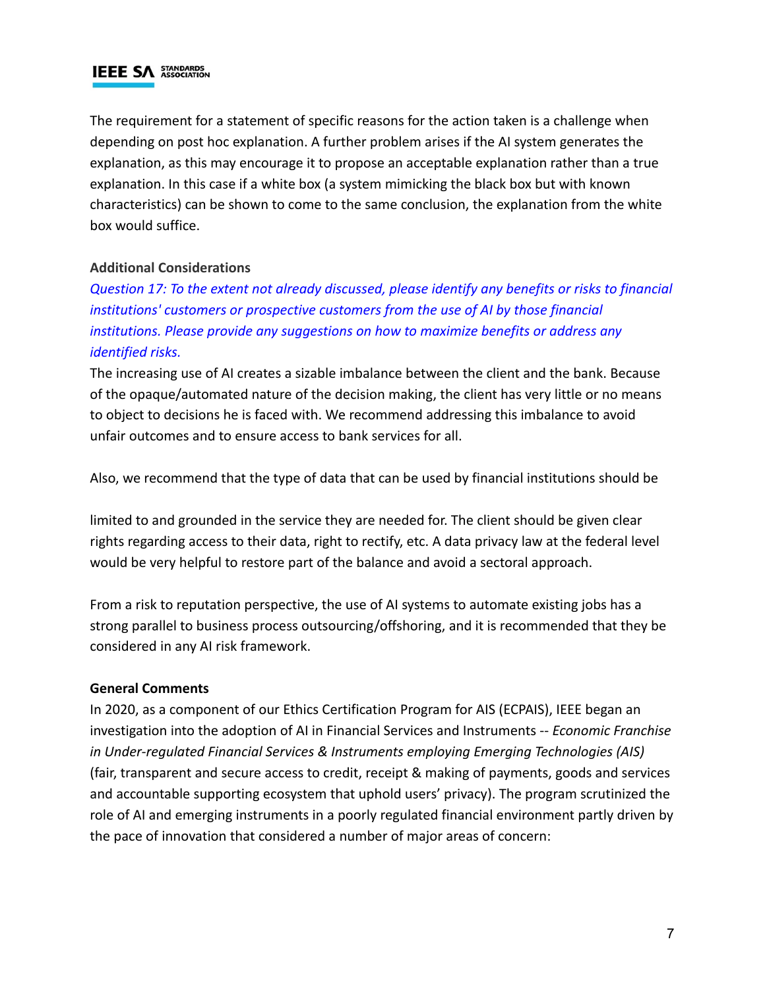The requirement for a statement of specific reasons for the action taken is a challenge when depending on post hoc explanation. A further problem arises if the AI system generates the explanation, as this may encourage it to propose an acceptable explanation rather than a true explanation. In this case if a white box (a system mimicking the black box but with known characteristics) can be shown to come to the same conclusion, the explanation from the white box would suffice.

### **Additional Considerations**

*Question 17: To the extent not already discussed, please identify any benefits or risks to financial institutions' customers or prospective customers from the use of AI by those financial institutions. Please provide any suggestions on how to maximize benefits or address any identified risks.*

The increasing use of AI creates a sizable imbalance between the client and the bank. Because of the opaque/automated nature of the decision making, the client has very little or no means to object to decisions he is faced with. We recommend addressing this imbalance to avoid unfair outcomes and to ensure access to bank services for all.

Also, we recommend that the type of data that can be used by financial institutions should be

limited to and grounded in the service they are needed for. The client should be given clear rights regarding access to their data, right to rectify, etc. A data privacy law at the federal level would be very helpful to restore part of the balance and avoid a sectoral approach.

From a risk to reputation perspective, the use of AI systems to automate existing jobs has a strong parallel to business process outsourcing/offshoring, and it is recommended that they be considered in any AI risk framework.

#### **General Comments**

In 2020, as a component of our Ethics Certification Program for AIS (ECPAIS), IEEE began an investigation into the adoption of AI in Financial Services and Instruments -- *Economic Franchise in Under-regulated Financial Services & Instruments employing Emerging Technologies (AIS)* (fair, transparent and secure access to credit, receipt & making of payments, goods and services and accountable supporting ecosystem that uphold users' privacy). The program scrutinized the role of AI and emerging instruments in a poorly regulated financial environment partly driven by the pace of innovation that considered a number of major areas of concern: